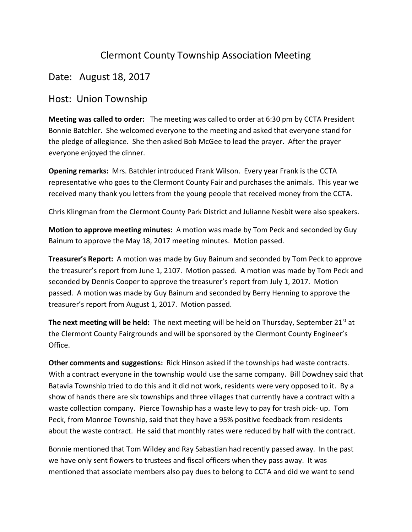## Clermont County Township Association Meeting

## Date: August 18, 2017

## Host: Union Township

**Meeting was called to order:** The meeting was called to order at 6:30 pm by CCTA President Bonnie Batchler. She welcomed everyone to the meeting and asked that everyone stand for the pledge of allegiance. She then asked Bob McGee to lead the prayer. After the prayer everyone enjoyed the dinner.

**Opening remarks:** Mrs. Batchler introduced Frank Wilson. Every year Frank is the CCTA representative who goes to the Clermont County Fair and purchases the animals. This year we received many thank you letters from the young people that received money from the CCTA.

Chris Klingman from the Clermont County Park District and Julianne Nesbit were also speakers.

**Motion to approve meeting minutes:** A motion was made by Tom Peck and seconded by Guy Bainum to approve the May 18, 2017 meeting minutes. Motion passed.

**Treasurer's Report:** A motion was made by Guy Bainum and seconded by Tom Peck to approve the treasurer's report from June 1, 2107. Motion passed. A motion was made by Tom Peck and seconded by Dennis Cooper to approve the treasurer's report from July 1, 2017. Motion passed. A motion was made by Guy Bainum and seconded by Berry Henning to approve the treasurer's report from August 1, 2017. Motion passed.

**The next meeting will be held:** The next meeting will be held on Thursday, September 21<sup>st</sup> at the Clermont County Fairgrounds and will be sponsored by the Clermont County Engineer's Office.

**Other comments and suggestions:** Rick Hinson asked if the townships had waste contracts. With a contract everyone in the township would use the same company. Bill Dowdney said that Batavia Township tried to do this and it did not work, residents were very opposed to it. By a show of hands there are six townships and three villages that currently have a contract with a waste collection company. Pierce Township has a waste levy to pay for trash pick- up. Tom Peck, from Monroe Township, said that they have a 95% positive feedback from residents about the waste contract. He said that monthly rates were reduced by half with the contract.

Bonnie mentioned that Tom Wildey and Ray Sabastian had recently passed away. In the past we have only sent flowers to trustees and fiscal officers when they pass away. It was mentioned that associate members also pay dues to belong to CCTA and did we want to send